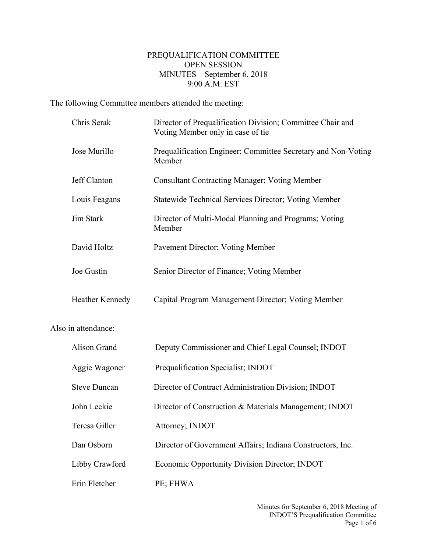## PREQUALIFICATION COMMITTEE OPEN SESSION MINUTES – September 6, 2018 9:00 A.M. EST

The following Committee members attended the meeting:

Also

| Chris Serak         | Director of Prequalification Division; Committee Chair and<br>Voting Member only in case of tie |
|---------------------|-------------------------------------------------------------------------------------------------|
| Jose Murillo        | Prequalification Engineer; Committee Secretary and Non-Voting<br>Member                         |
| Jeff Clanton        | <b>Consultant Contracting Manager; Voting Member</b>                                            |
| Louis Feagans       | Statewide Technical Services Director; Voting Member                                            |
| Jim Stark           | Director of Multi-Modal Planning and Programs; Voting<br>Member                                 |
| David Holtz         | Pavement Director; Voting Member                                                                |
| Joe Gustin          | Senior Director of Finance; Voting Member                                                       |
| Heather Kennedy     | Capital Program Management Director; Voting Member                                              |
| in attendance:      |                                                                                                 |
| Alison Grand        | Deputy Commissioner and Chief Legal Counsel; INDOT                                              |
| Aggie Wagoner       | Prequalification Specialist; INDOT                                                              |
| <b>Steve Duncan</b> | Director of Contract Administration Division; INDOT                                             |
| John Leckie         | Director of Construction & Materials Management; INDOT                                          |
| Teresa Giller       | Attorney; INDOT                                                                                 |
| Dan Osborn          | Director of Government Affairs; Indiana Constructors, Inc.                                      |
| Libby Crawford      | Economic Opportunity Division Director; INDOT                                                   |
| Erin Fletcher       | PE; FHWA                                                                                        |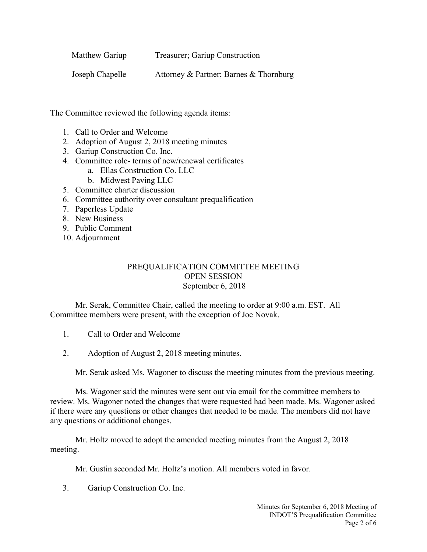| Matthew Gariup  | Treasurer; Gariup Construction         |
|-----------------|----------------------------------------|
| Joseph Chapelle | Attorney & Partner; Barnes & Thornburg |

The Committee reviewed the following agenda items:

- 1. Call to Order and Welcome
- 2. Adoption of August 2, 2018 meeting minutes
- 3. Gariup Construction Co. Inc.
- 4. Committee role- terms of new/renewal certificates
	- a. Ellas Construction Co. LLC
	- b. Midwest Paving LLC
- 5. Committee charter discussion
- 6. Committee authority over consultant prequalification
- 7. Paperless Update
- 8. New Business
- 9. Public Comment
- 10. Adjournment

## PREQUALIFICATION COMMITTEE MEETING OPEN SESSION September 6, 2018

Mr. Serak, Committee Chair, called the meeting to order at 9:00 a.m. EST. All Committee members were present, with the exception of Joe Novak.

1. Call to Order and Welcome

2. Adoption of August 2, 2018 meeting minutes.

Mr. Serak asked Ms. Wagoner to discuss the meeting minutes from the previous meeting.

Ms. Wagoner said the minutes were sent out via email for the committee members to review. Ms. Wagoner noted the changes that were requested had been made. Ms. Wagoner asked if there were any questions or other changes that needed to be made. The members did not have any questions or additional changes.

Mr. Holtz moved to adopt the amended meeting minutes from the August 2, 2018 meeting.

Mr. Gustin seconded Mr. Holtz's motion. All members voted in favor.

3. Gariup Construction Co. Inc.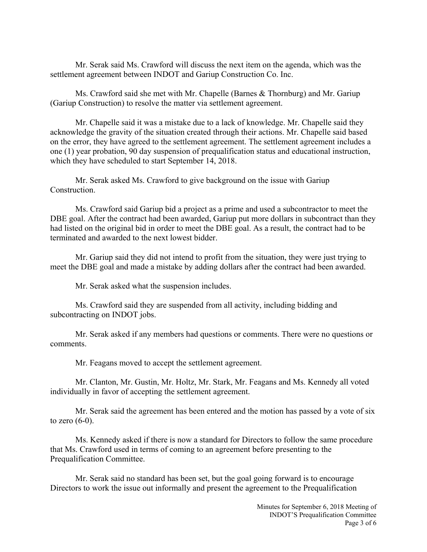Mr. Serak said Ms. Crawford will discuss the next item on the agenda, which was the settlement agreement between INDOT and Gariup Construction Co. Inc.

Ms. Crawford said she met with Mr. Chapelle (Barnes & Thornburg) and Mr. Gariup (Gariup Construction) to resolve the matter via settlement agreement.

Mr. Chapelle said it was a mistake due to a lack of knowledge. Mr. Chapelle said they acknowledge the gravity of the situation created through their actions. Mr. Chapelle said based on the error, they have agreed to the settlement agreement. The settlement agreement includes a one (1) year probation, 90 day suspension of prequalification status and educational instruction, which they have scheduled to start September 14, 2018.

Mr. Serak asked Ms. Crawford to give background on the issue with Gariup Construction.

Ms. Crawford said Gariup bid a project as a prime and used a subcontractor to meet the DBE goal. After the contract had been awarded, Gariup put more dollars in subcontract than they had listed on the original bid in order to meet the DBE goal. As a result, the contract had to be terminated and awarded to the next lowest bidder.

Mr. Gariup said they did not intend to profit from the situation, they were just trying to meet the DBE goal and made a mistake by adding dollars after the contract had been awarded.

Mr. Serak asked what the suspension includes.

Ms. Crawford said they are suspended from all activity, including bidding and subcontracting on INDOT jobs.

Mr. Serak asked if any members had questions or comments. There were no questions or comments.

Mr. Feagans moved to accept the settlement agreement.

Mr. Clanton, Mr. Gustin, Mr. Holtz, Mr. Stark, Mr. Feagans and Ms. Kennedy all voted individually in favor of accepting the settlement agreement.

Mr. Serak said the agreement has been entered and the motion has passed by a vote of six to zero  $(6-0)$ .

Ms. Kennedy asked if there is now a standard for Directors to follow the same procedure that Ms. Crawford used in terms of coming to an agreement before presenting to the Prequalification Committee.

Mr. Serak said no standard has been set, but the goal going forward is to encourage Directors to work the issue out informally and present the agreement to the Prequalification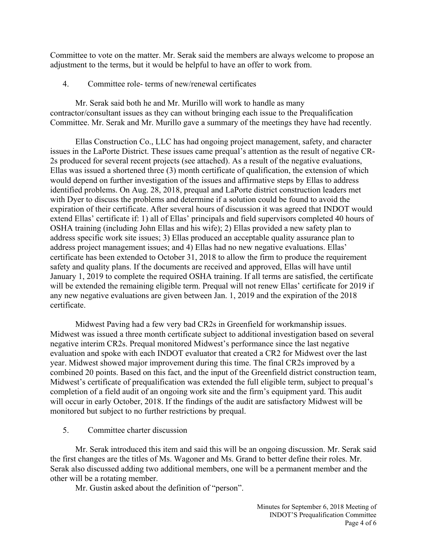Committee to vote on the matter. Mr. Serak said the members are always welcome to propose an adjustment to the terms, but it would be helpful to have an offer to work from.

4. Committee role- terms of new/renewal certificates

Mr. Serak said both he and Mr. Murillo will work to handle as many contractor/consultant issues as they can without bringing each issue to the Prequalification Committee. Mr. Serak and Mr. Murillo gave a summary of the meetings they have had recently.

Ellas Construction Co., LLC has had ongoing project management, safety, and character issues in the LaPorte District. These issues came prequal's attention as the result of negative CR-2s produced for several recent projects (see attached). As a result of the negative evaluations, Ellas was issued a shortened three (3) month certificate of qualification, the extension of which would depend on further investigation of the issues and affirmative steps by Ellas to address identified problems. On Aug. 28, 2018, prequal and LaPorte district construction leaders met with Dyer to discuss the problems and determine if a solution could be found to avoid the expiration of their certificate. After several hours of discussion it was agreed that INDOT would extend Ellas' certificate if: 1) all of Ellas' principals and field supervisors completed 40 hours of OSHA training (including John Ellas and his wife); 2) Ellas provided a new safety plan to address specific work site issues; 3) Ellas produced an acceptable quality assurance plan to address project management issues; and 4) Ellas had no new negative evaluations. Ellas' certificate has been extended to October 31, 2018 to allow the firm to produce the requirement safety and quality plans. If the documents are received and approved, Ellas will have until January 1, 2019 to complete the required OSHA training. If all terms are satisfied, the certificate will be extended the remaining eligible term. Prequal will not renew Ellas' certificate for 2019 if any new negative evaluations are given between Jan. 1, 2019 and the expiration of the 2018 certificate.

Midwest Paving had a few very bad CR2s in Greenfield for workmanship issues. Midwest was issued a three month certificate subject to additional investigation based on several negative interim CR2s. Prequal monitored Midwest's performance since the last negative evaluation and spoke with each INDOT evaluator that created a CR2 for Midwest over the last year. Midwest showed major improvement during this time. The final CR2s improved by a combined 20 points. Based on this fact, and the input of the Greenfield district construction team, Midwest's certificate of prequalification was extended the full eligible term, subject to prequal's completion of a field audit of an ongoing work site and the firm's equipment yard. This audit will occur in early October, 2018. If the findings of the audit are satisfactory Midwest will be monitored but subject to no further restrictions by prequal.

5. Committee charter discussion

Mr. Serak introduced this item and said this will be an ongoing discussion. Mr. Serak said the first changes are the titles of Ms. Wagoner and Ms. Grand to better define their roles. Mr. Serak also discussed adding two additional members, one will be a permanent member and the other will be a rotating member.

Mr. Gustin asked about the definition of "person".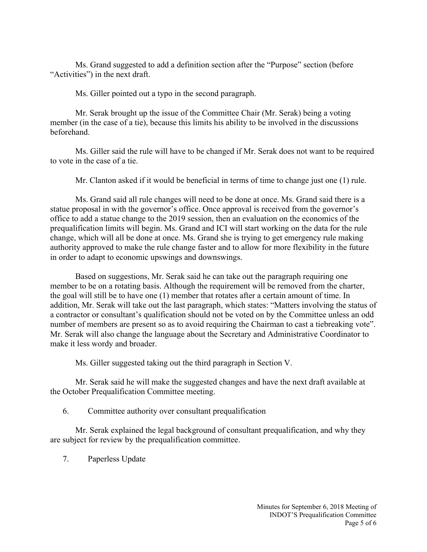Ms. Grand suggested to add a definition section after the "Purpose" section (before "Activities") in the next draft.

Ms. Giller pointed out a typo in the second paragraph.

Mr. Serak brought up the issue of the Committee Chair (Mr. Serak) being a voting member (in the case of a tie), because this limits his ability to be involved in the discussions beforehand.

Ms. Giller said the rule will have to be changed if Mr. Serak does not want to be required to vote in the case of a tie.

Mr. Clanton asked if it would be beneficial in terms of time to change just one (1) rule.

Ms. Grand said all rule changes will need to be done at once. Ms. Grand said there is a statue proposal in with the governor's office. Once approval is received from the governor's office to add a statue change to the 2019 session, then an evaluation on the economics of the prequalification limits will begin. Ms. Grand and ICI will start working on the data for the rule change, which will all be done at once. Ms. Grand she is trying to get emergency rule making authority approved to make the rule change faster and to allow for more flexibility in the future in order to adapt to economic upswings and downswings.

Based on suggestions, Mr. Serak said he can take out the paragraph requiring one member to be on a rotating basis. Although the requirement will be removed from the charter, the goal will still be to have one (1) member that rotates after a certain amount of time. In addition, Mr. Serak will take out the last paragraph, which states: "Matters involving the status of a contractor or consultant's qualification should not be voted on by the Committee unless an odd number of members are present so as to avoid requiring the Chairman to cast a tiebreaking vote". Mr. Serak will also change the language about the Secretary and Administrative Coordinator to make it less wordy and broader.

Ms. Giller suggested taking out the third paragraph in Section V.

Mr. Serak said he will make the suggested changes and have the next draft available at the October Prequalification Committee meeting.

6. Committee authority over consultant prequalification

Mr. Serak explained the legal background of consultant prequalification, and why they are subject for review by the prequalification committee.

7. Paperless Update